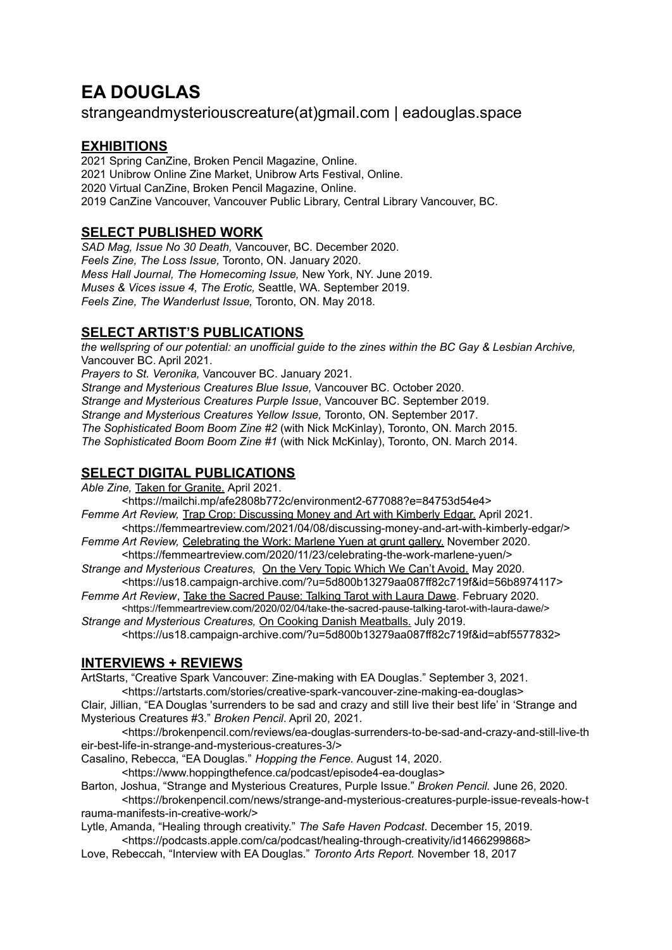# **EA DOUGLAS**

# strangeandmysteriouscreature(at)gmail.com | eadouglas.space

## **EXHIBITIONS**

 Spring CanZine, Broken Pencil Magazine, Online. Unibrow Online Zine Market, Unibrow Arts Festival, Online. Virtual CanZine, Broken Pencil Magazine, Online. CanZine Vancouver, Vancouver Public Library, Central Library Vancouver, BC.

## **SELECT PUBLISHED WORK**

*SAD Mag, Issue No 30 Death,* Vancouver, BC. December 2020. *Feels Zine, The Loss Issue,* Toronto, ON. January 2020. *Mess Hall Journal, The Homecoming Issue,* New York, NY. June 2019. *Muses & Vices issue 4, The Erotic,* Seattle, WA. September 2019. *Feels Zine, The Wanderlust Issue,* Toronto, ON. May 2018.

## **SELECT ARTIST'S PUBLICATIONS**

the wellspring of our potential: an unofficial guide to the zines within the BC Gay & Lesbian Archive, Vancouver BC. April 2021.

*Prayers to St. Veronika,* Vancouver BC. January 2021.

*Strange and Mysterious Creatures Blue Issue,* Vancouver BC. October 2020.

*Strange and Mysterious Creatures Purple Issue*, Vancouver BC. September 2019.

*Strange and Mysterious Creatures Yellow Issue,* Toronto, ON. September 2017.

*The Sophisticated Boom Boom Zine #2* (with Nick McKinlay), Toronto, ON. March 2015.

*The Sophisticated Boom Boom Zine #1* (with Nick McKinlay), Toronto, ON. March 2014.

## **SELECT DIGITAL PUBLICATIONS**

*Able Zine,* Taken for Granite. April 2021.

<https://mailchi.mp/afe2808b772c/environment2-677088?e=84753d54e4>

- *Femme Art Review,* Trap Crop: Discussing Money and Art with Kimberly Edgar. April 2021. <https://femmeartreview.com/2021/04/08/discussing-money-and-art-with-kimberly-edgar/>
- *Femme Art Review,* Celebrating the Work: Marlene Yuen at grunt gallery. November 2020. <https://femmeartreview.com/2020/11/23/celebrating-the-work-marlene-yuen/>
- *Strange and Mysterious Creatures,* On the Very Topic Which We Can't Avoid. May 2020. <https://us18.campaign-archive.com/?u=5d800b13279aa087ff82c719f&id=56b8974117>
- *Femme Art Review*, Take the Sacred Pause: Talking Tarot with Laura Dawe. February 2020. <https://femmeartreview.com/2020/02/04/take-the-sacred-pause-talking-tarot-with-laura-dawe/>

*Strange and Mysterious Creatures,* On Cooking Danish Meatballs. July 2019. <https://us18.campaign-archive.com/?u=5d800b13279aa087ff82c719f&id=abf5577832>

## **INTERVIEWS + REVIEWS**

ArtStarts, "Creative Spark Vancouver: Zine-making with EA Douglas." September 3, 2021.

<https://artstarts.com/stories/creative-spark-vancouver-zine-making-ea-douglas> Clair, Jillian, "EA Douglas 'surrenders to be sad and crazy and still live their best life' in 'Strange and

Mysterious Creatures #3." *Broken Pencil*. April 20, 2021. <https://brokenpencil.com/reviews/ea-douglas-surrenders-to-be-sad-and-crazy-and-still-live-th eir-best-life-in-strange-and-mysterious-creatures-3/>

Casalino, Rebecca, "EA Douglas." *Hopping the Fence.* August 14, 2020.

<https://www.hoppingthefence.ca/podcast/episode4-ea-douglas>

Barton, Joshua, "Strange and Mysterious Creatures, Purple Issue." *Broken Pencil.* June 26, 2020.

<https://brokenpencil.com/news/strange-and-mysterious-creatures-purple-issue-reveals-how-t rauma-manifests-in-creative-work/>

Lytle, Amanda, "Healing through creativity." *The Safe Haven Podcast*. December 15, 2019.

<https://podcasts.apple.com/ca/podcast/healing-through-creativity/id1466299868>

Love, Rebeccah, "Interview with EA Douglas." *Toronto Arts Report.* November 18, 2017